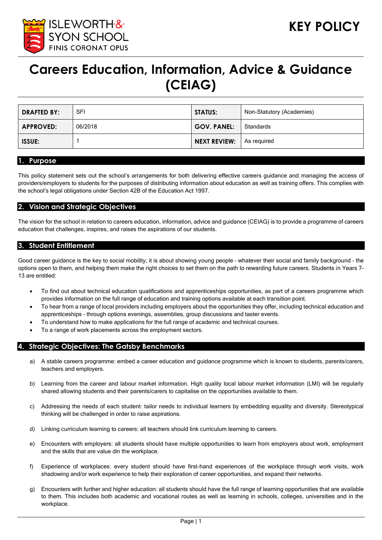

# **Careers Education, Information, Advice & Guidance (CEIAG)**

| <b>DRAFTED BY:</b> | SFI     | <b>STATUS:</b>     | Non-Statutory (Academies) |
|--------------------|---------|--------------------|---------------------------|
| <b>APPROVED:</b>   | 06/2018 | <b>GOV. PANEL:</b> | Standards                 |
| <b>ISSUE:</b>      |         | NEXT REVIEW:       | As reguired               |

#### **1. Purpose**

This policy statement sets out the school's arrangements for both delivering effective careers guidance and managing the access of providers/employers to students for the purposes of distributing information about education as well as training offers. This complies with the school's legal obligations under Section 42B of the Education Act 1997.

#### **2. Vision and Strategic Objectives**

The vision for the school in relation to careers education, information, advice and guidance (CEIAG) is to provide a programme of careers education that challenges, inspires, and raises the aspirations of our students.

## **3. Student Entitlement**

Good career guidance is the key to social mobility; it is about showing young people – whatever their social and family background – the options open to them, and helping them make the right choices to set them on the path to rewarding future careers. Students in Years 7- 13 are entitled:

- To find out about technical education qualifications and apprenticeships opportunities, as part of a careers programme which provides information on the full range of education and training options available at each transition point.
- To hear from a range of local providers including employers about the opportunities they offer, including technical education and apprenticeships – through options evenings, assemblies, group discussions and taster events.
- To understand how to make applications for the full range of academic and technical courses.
- To a range of work placements across the employment sectors.

#### **4. Strategic Objectives: The Gatsby Benchmarks**

- a) A stable careers programme: embed a career education and guidance programme which is known to students, parents/carers, teachers and employers.
- b) Learning from the career and labour market information. High quality local labour market information (LMI) will be regularly shared allowing students and their parents/carers to capitalise on the opportunities available to them.
- c) Addressing the needs of each student: tailor needs to individual learners by embedding equality and diversity. Stereotypical thinking will be challenged in order to raise aspirations.
- d) Linking curriculum learning to careers: all teachers should link curriculum learning to careers.
- e) Encounters with employers: all students should have multiple opportunities to learn from employers about work, employment and the skills that are value din the workplace.
- f) Experience of workplaces: every student should have first-hand experiences of the workplace through work visits, work shadowing and/or work experience to help their exploration of career opportunities, and expand their networks.
- g) Encounters with further and higher education: all students should have the full range of learning opportunities that are available to them. This includes both academic and vocational routes as well as learning in schools, colleges, universities and in the workplace.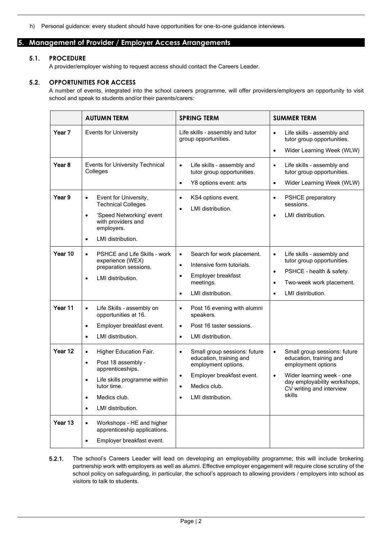h) Personal guidance: every student should have opportunities for one-to-one guidance interviews.

# **5. Management of Provider / Employer Access Arrangements**

#### **5.1. PROCEDURE**

A provider/employer wishing to request access should contact the Careers Leader.

#### **5.2. OPPORTUNITIES FOR ACCESS**

A number of events, integrated into the school careers programme, will offer providers/employers an opportunity to visit school and speak to students and/or their parents/carers:

|                   | <b>AUTUMN TERM</b>                                                                                                                                                                                                    | <b>SPRING TERM</b>                                                                                                                                                                                   | <b>SUMMER TERM</b>                                                                                                                                                                                         |
|-------------------|-----------------------------------------------------------------------------------------------------------------------------------------------------------------------------------------------------------------------|------------------------------------------------------------------------------------------------------------------------------------------------------------------------------------------------------|------------------------------------------------------------------------------------------------------------------------------------------------------------------------------------------------------------|
| Year <sub>7</sub> | <b>Events for University</b>                                                                                                                                                                                          | Life skills - assembly and tutor<br>group opportunities.                                                                                                                                             | $\bullet$<br>Life skills - assembly and<br>tutor group opportunities.<br>Wider Learning Week (WLW)<br>$\bullet$                                                                                            |
| Year 8            | Events for University Technical<br>Colleges                                                                                                                                                                           | Life skills - assembly and<br>$\bullet$<br>tutor group opportunities.<br>Y8 options event: arts<br>$\bullet$                                                                                         | Life skills - assembly and<br>$\bullet$<br>tutor group opportunities.<br>Wider Learning Week (WLW)<br>$\bullet$                                                                                            |
| Year 9            | Event for University,<br>$\bullet$<br><b>Technical Colleges</b><br>'Speed Networking' event<br>$\bullet$<br>with providers and<br>employers.<br>LMI distribution.<br>$\bullet$                                        | KS4 options event.<br>$\bullet$<br>LMI distribution.<br>$\bullet$                                                                                                                                    | <b>PSHCE</b> preparatory<br>$\bullet$<br>sessions.<br>LMI distribution.<br>$\bullet$                                                                                                                       |
| Year 10           | <b>PSHCE and Life Skills - work</b><br>$\bullet$<br>experience (WEX)<br>preparation sessions.<br>LMI distribution.<br>$\bullet$                                                                                       | Search for work placement.<br>$\bullet$<br>Intensive form tutorials.<br>$\bullet$<br>Employer breakfast<br>$\bullet$<br>meetings.<br>LMI distribution.<br>$\bullet$                                  | Life skills - assembly and<br>$\bullet$<br>tutor group opportunities.<br>PSHCE - health & safety.<br>$\bullet$<br>Two-week work placement.<br>$\bullet$<br>LMI distribution.<br>$\bullet$                  |
| Year 11           | $\bullet$<br>Life Skills - assembly on<br>opportunities at 16.<br>Employer breakfast event.<br>$\bullet$<br>LMI distribution.<br>$\bullet$                                                                            | Post 16 evening with alumni<br>$\bullet$<br>speakers.<br>Post 16 taster sessions.<br>$\bullet$<br>LMI distribution.<br>$\bullet$                                                                     |                                                                                                                                                                                                            |
| Year 12           | Higher Education Fair.<br>$\bullet$<br>Post 18 assembly -<br>$\bullet$<br>apprenticeships.<br>Life skills programme within<br>$\bullet$<br>tutor time.<br>Medics club.<br>$\bullet$<br>LMI distribution.<br>$\bullet$ | Small group sessions: future<br>$\bullet$<br>education, training and<br>employment options.<br>Employer breakfast event.<br>$\bullet$<br>Medics club.<br>$\bullet$<br>LMI distribution.<br>$\bullet$ | Small group sessions: future<br>$\bullet$<br>education, training and<br>employment options<br>Wider learning week - one<br>$\bullet$<br>day employability workshops,<br>CV writing and interview<br>skills |
| Year 13           | $\bullet$<br>Workshops - HE and higher<br>apprenticeship applications.<br>Employer breakfast event.<br>$\bullet$                                                                                                      |                                                                                                                                                                                                      |                                                                                                                                                                                                            |

5.2.1. The school's Careers Leader will lead on developing an employability programme; this will include brokering partnership work with employers as well as alumni. Effective employer engagement will require close scrutiny of the school policy on safeguarding, in particular, the school's approach to allowing providers / employers into school as visitors to talk to students.